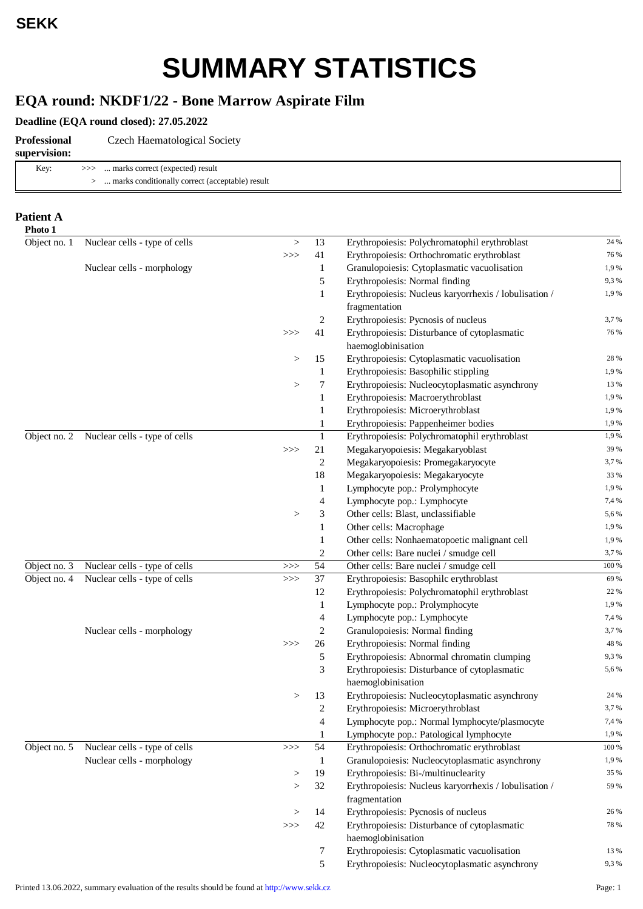# **SUMMARY STATISTICS**

### **EQA round: NKDF1/22 - Bone Marrow Aspirate Film**

### **Deadline (EQA round closed): 27.05.2022**

| Professional<br>supervision: | Czech Haematological Society                    |
|------------------------------|-------------------------------------------------|
| Key:                         | >>>  marks correct (expected) result            |
|                              | marks conditionally correct (acceptable) result |

### **Patient A Photo 1**

| Object no. 1 | Nuclear cells - type of cells | $\,>$    | 13             | Erythropoiesis: Polychromatophil erythroblast                      | 24 %  |
|--------------|-------------------------------|----------|----------------|--------------------------------------------------------------------|-------|
|              |                               | >>       | 41             | Erythropoiesis: Orthochromatic erythroblast                        | 76 %  |
|              | Nuclear cells - morphology    |          | 1              | Granulopoiesis: Cytoplasmatic vacuolisation                        | 1,9%  |
|              |                               |          | 5              | Erythropoiesis: Normal finding                                     | 9,3%  |
|              |                               |          | $\mathbf{1}$   | Erythropoiesis: Nucleus karyorrhexis / lobulisation /              | 1,9%  |
|              |                               |          |                | fragmentation                                                      |       |
|              |                               |          | 2              | Erythropoiesis: Pycnosis of nucleus                                | 3,7%  |
|              |                               | >>       | 41             | Erythropoiesis: Disturbance of cytoplasmatic                       | 76 %  |
|              |                               |          |                | haemoglobinisation                                                 |       |
|              |                               | $\rm{>}$ | 15             | Erythropoiesis: Cytoplasmatic vacuolisation                        | 28 %  |
|              |                               |          | 1              | Erythropoiesis: Basophilic stippling                               | 1,9%  |
|              |                               | >        | 7              | Erythropoiesis: Nucleocytoplasmatic asynchrony                     | 13 %  |
|              |                               |          | $\mathbf{1}$   | Erythropoiesis: Macroerythroblast                                  | 1,9%  |
|              |                               |          | $\mathbf{1}$   | Erythropoiesis: Microerythroblast                                  | 1,9%  |
|              |                               |          | $\mathbf{1}$   | Erythropoiesis: Pappenheimer bodies                                | 1,9%  |
| Object no. 2 | Nuclear cells - type of cells |          | $\mathbf{1}$   | Erythropoiesis: Polychromatophil erythroblast                      | 1,9%  |
|              |                               | >>       | 21             | Megakaryopoiesis: Megakaryoblast                                   | 39 %  |
|              |                               |          | $\overline{c}$ | Megakaryopoiesis: Promegakaryocyte                                 | 3,7%  |
|              |                               |          | 18             | Megakaryopoiesis: Megakaryocyte                                    | 33 %  |
|              |                               |          | 1              | Lymphocyte pop.: Prolymphocyte                                     | 1,9%  |
|              |                               |          | 4              | Lymphocyte pop.: Lymphocyte                                        | 7,4 % |
|              |                               | >        | 3              | Other cells: Blast, unclassifiable                                 | 5,6%  |
|              |                               |          | $\mathbf{1}$   | Other cells: Macrophage                                            | 1,9%  |
|              |                               |          | $\mathbf{1}$   | Other cells: Nonhaematopoetic malignant cell                       | 1,9%  |
|              |                               |          | 2              | Other cells: Bare nuclei / smudge cell                             | 3,7%  |
| Object no. 3 | Nuclear cells - type of cells | >>       | 54             | Other cells: Bare nuclei / smudge cell                             | 100 % |
| Object no. 4 | Nuclear cells - type of cells | >>       | 37             | Erythropoiesis: Basophilc erythroblast                             | 69 %  |
|              |                               |          | 12             | Erythropoiesis: Polychromatophil erythroblast                      | 22 %  |
|              |                               |          | $\mathbf{1}$   | Lymphocyte pop.: Prolymphocyte                                     | 1,9%  |
|              |                               |          | 4              | Lymphocyte pop.: Lymphocyte                                        | 7,4 % |
|              | Nuclear cells - morphology    |          | 2              | Granulopoiesis: Normal finding                                     | 3,7%  |
|              |                               | >>       | 26             | Erythropoiesis: Normal finding                                     | 48 %  |
|              |                               |          | 5              | Erythropoiesis: Abnormal chromatin clumping                        | 9,3%  |
|              |                               |          | 3              | Erythropoiesis: Disturbance of cytoplasmatic                       | 5,6%  |
|              |                               |          |                | haemoglobinisation                                                 |       |
|              |                               | >        | 13             | Erythropoiesis: Nucleocytoplasmatic asynchrony                     | 24 %  |
|              |                               |          | 2              | Erythropoiesis: Microerythroblast                                  | 3,7%  |
|              |                               |          | 4              | Lymphocyte pop.: Normal lymphocyte/plasmocyte                      | 7,4 % |
|              |                               |          | 1              | Lymphocyte pop.: Patological lymphocyte                            | 1,9%  |
| Object no. 5 | Nuclear cells - type of cells | >>       | 54             | Erythropoiesis: Orthochromatic erythroblast                        | 100 % |
|              | Nuclear cells - morphology    |          | $\mathbf{1}$   | Granulopoiesis: Nucleocytoplasmatic asynchrony                     | 1,9%  |
|              |                               | >        | 19             | Erythropoiesis: Bi-/multinuclearity                                | 35 %  |
|              |                               | >        | 32             | Erythropoiesis: Nucleus karyorrhexis / lobulisation /              | 59 %  |
|              |                               |          |                | fragmentation                                                      |       |
|              |                               | $\rm{>}$ | 14             | Erythropoiesis: Pycnosis of nucleus                                | 26 %  |
|              |                               | >>       | 42             | Erythropoiesis: Disturbance of cytoplasmatic<br>haemoglobinisation | 78 %  |
|              |                               |          | 7              | Erythropoiesis: Cytoplasmatic vacuolisation                        | 13 %  |
|              |                               |          | 5              | Erythropoiesis: Nucleocytoplasmatic asynchrony                     | 9,3%  |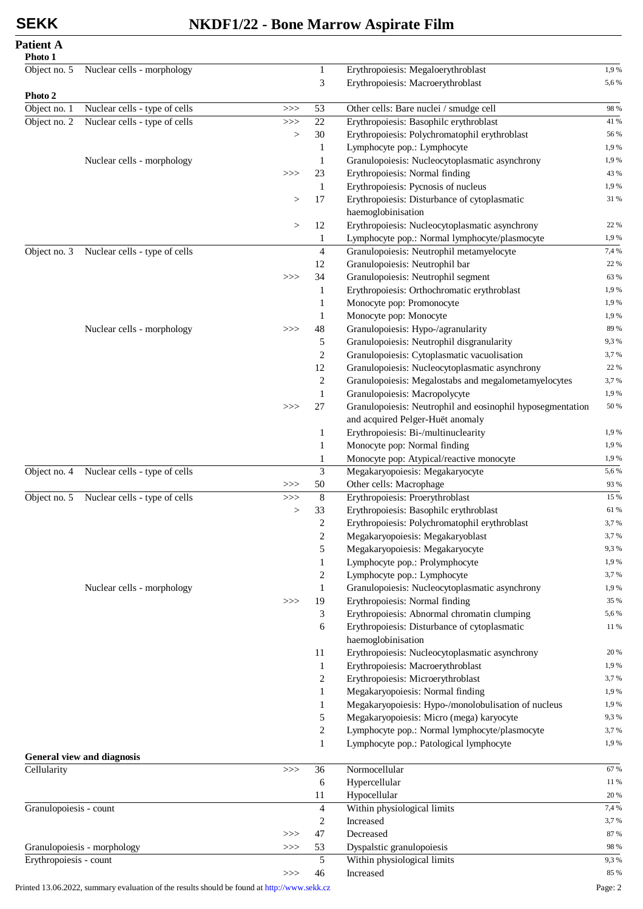### **SEKK NKDF1/22 - Bone Marrow Aspirate Film**

**Patient A Photo 1**

| Object no. 5           | Nuclear cells - morphology    |       | $\mathbf{1}$   | Erythropoiesis: Megaloerythroblast                         | 1,9%  |
|------------------------|-------------------------------|-------|----------------|------------------------------------------------------------|-------|
|                        |                               |       | 3              | Erythropoiesis: Macroerythroblast                          | 5,6%  |
| Photo 2                |                               |       |                |                                                            |       |
| Object no. 1           | Nuclear cells - type of cells | $>>>$ | 53             | Other cells: Bare nuclei / smudge cell                     | 98 %  |
| Object no. 2           | Nuclear cells - type of cells | $>>>$ | 22             | Erythropoiesis: Basophilc erythroblast                     | 41 %  |
|                        |                               | $\,>$ | 30             | Erythropoiesis: Polychromatophil erythroblast              | 56 %  |
|                        |                               |       | 1              | Lymphocyte pop.: Lymphocyte                                | 1,9%  |
|                        | Nuclear cells - morphology    |       | 1              | Granulopoiesis: Nucleocytoplasmatic asynchrony             | 1,9%  |
|                        |                               | $>>>$ | 23             | Erythropoiesis: Normal finding                             | 43 %  |
|                        |                               |       | -1             | Erythropoiesis: Pycnosis of nucleus                        | 1,9%  |
|                        |                               | >     | 17             | Erythropoiesis: Disturbance of cytoplasmatic               | 31 %  |
|                        |                               |       |                | haemoglobinisation                                         |       |
|                        |                               | $\,>$ | 12             | Erythropoiesis: Nucleocytoplasmatic asynchrony             | 22 %  |
|                        |                               |       | 1              | Lymphocyte pop.: Normal lymphocyte/plasmocyte              | 1,9%  |
| Object no. 3           | Nuclear cells - type of cells |       | $\overline{4}$ | Granulopoiesis: Neutrophil metamyelocyte                   | 7,4 % |
|                        |                               |       | 12             | Granulopoiesis: Neutrophil bar                             | 22 %  |
|                        |                               | $>>>$ | 34             | Granulopoiesis: Neutrophil segment                         | 63 %  |
|                        |                               |       | 1              | Erythropoiesis: Orthochromatic erythroblast                | 1,9%  |
|                        |                               |       | 1              | Monocyte pop: Promonocyte                                  | 1,9%  |
|                        |                               |       | 1              | Monocyte pop: Monocyte                                     | 1,9%  |
|                        | Nuclear cells - morphology    | $>>>$ | 48             | Granulopoiesis: Hypo-/agranularity                         | 89 %  |
|                        |                               |       | 5              | Granulopoiesis: Neutrophil disgranularity                  | 9,3%  |
|                        |                               |       | $\overline{c}$ | Granulopoiesis: Cytoplasmatic vacuolisation                | 3,7%  |
|                        |                               |       | 12             | Granulopoiesis: Nucleocytoplasmatic asynchrony             | 22 %  |
|                        |                               |       | $\overline{c}$ | Granulopoiesis: Megalostabs and megalometamyelocytes       | 3,7%  |
|                        |                               |       | $\mathbf{1}$   | Granulopoiesis: Macropolycyte                              | 1,9%  |
|                        |                               | $>>>$ | 27             | Granulopoiesis: Neutrophil and eosinophil hyposegmentation | 50 %  |
|                        |                               |       |                | and acquired Pelger-Huët anomaly                           |       |
|                        |                               |       | 1              | Erythropoiesis: Bi-/multinuclearity                        | 1,9%  |
|                        |                               |       | $\mathbf{1}$   | Monocyte pop: Normal finding                               | 1,9%  |
|                        |                               |       | 1              | Monocyte pop: Atypical/reactive monocyte                   | 1,9%  |
| Object no. 4           | Nuclear cells - type of cells |       | 3              | Megakaryopoiesis: Megakaryocyte                            | 5,6%  |
|                        |                               | >>>   | 50             | Other cells: Macrophage                                    | 93 %  |
| Object no. 5           | Nuclear cells - type of cells | $>>>$ | 8              | Erythropoiesis: Proerythroblast                            | 15 %  |
|                        |                               | >     | 33             | Erythropoiesis: Basophilc erythroblast                     | 61 %  |
|                        |                               |       | 2              | Erythropoiesis: Polychromatophil erythroblast              | 3,7%  |
|                        |                               |       | $\mathbf{2}$   | Megakaryopoiesis: Megakaryoblast                           | 3,7%  |
|                        |                               |       | 5              | Megakaryopoiesis: Megakaryocyte                            | 9,3%  |
|                        |                               |       | $\mathbf{1}$   | Lymphocyte pop.: Prolymphocyte                             | 1,9%  |
|                        |                               |       | $\overline{c}$ | Lymphocyte pop.: Lymphocyte                                | 3,7%  |
|                        | Nuclear cells - morphology    |       | $\mathbf{1}$   | Granulopoiesis: Nucleocytoplasmatic asynchrony             | 1,9%  |
|                        |                               | $>>>$ | 19             | Erythropoiesis: Normal finding                             | 35 %  |
|                        |                               |       | 3              | Erythropoiesis: Abnormal chromatin clumping                | 5,6%  |
|                        |                               |       | 6              | Erythropoiesis: Disturbance of cytoplasmatic               | 11 %  |
|                        |                               |       |                | haemoglobinisation                                         |       |
|                        |                               |       | 11             | Erythropoiesis: Nucleocytoplasmatic asynchrony             | 20 %  |
|                        |                               |       | 1              | Erythropoiesis: Macroerythroblast                          | 1,9%  |
|                        |                               |       | $\overline{c}$ | Erythropoiesis: Microerythroblast                          | 3,7%  |
|                        |                               |       | 1              | Megakaryopoiesis: Normal finding                           | 1,9%  |
|                        |                               |       | 1              | Megakaryopoiesis: Hypo-/monolobulisation of nucleus        | 1,9%  |
|                        |                               |       | 5              | Megakaryopoiesis: Micro (mega) karyocyte                   | 9,3%  |
|                        |                               |       | $\mathbf{2}$   | Lymphocyte pop.: Normal lymphocyte/plasmocyte              | 3,7%  |
|                        |                               |       | $\mathbf{1}$   | Lymphocyte pop.: Patological lymphocyte                    | 1,9%  |
|                        | General view and diagnosis    |       |                |                                                            |       |
| Cellularity            |                               | $>>>$ | 36             | Normocellular                                              | 67 %  |
|                        |                               |       | 6              | Hypercellular                                              | 11 %  |
|                        |                               |       | 11             | Hypocellular                                               | 20 %  |
| Granulopoiesis - count |                               |       | $\overline{4}$ | Within physiological limits                                | 7,4 % |
|                        |                               |       | $\overline{2}$ | Increased                                                  | 3,7%  |
|                        |                               | $>>>$ | 47             | Decreased                                                  | 87 %  |
|                        | Granulopoiesis - morphology   | $>>>$ | 53             | Dyspalstic granulopoiesis                                  | 98 %  |
| Erythropoiesis - count |                               |       | 5              | Within physiological limits                                | 9,3%  |
|                        |                               | >>>   | 46             | Increased                                                  | 85 %  |
|                        |                               |       |                |                                                            |       |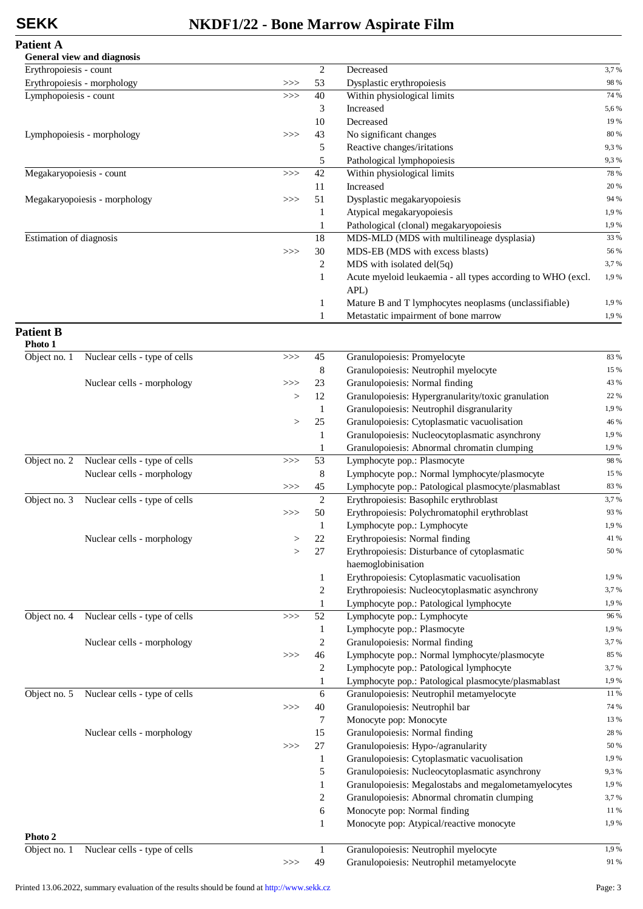# **SEKK NKDF1/22 - Bone Marrow Aspirate Film**

| <b>Patient A</b> |  |
|------------------|--|
|------------------|--|

|                             | General view and diagnosis    |     |                |                                                                     |      |
|-----------------------------|-------------------------------|-----|----------------|---------------------------------------------------------------------|------|
| Erythropoiesis - count      |                               |     | 2              | Decreased                                                           | 3,7% |
| Erythropoiesis - morphology |                               | >>> | 53             | Dysplastic erythropoiesis                                           | 98 % |
| Lymphopoiesis - count       |                               | >>  | 40             | Within physiological limits                                         | 74 % |
|                             |                               |     | 3              | Increased                                                           | 5,6% |
|                             |                               |     | 10             | Decreased                                                           | 19 % |
|                             | Lymphopoiesis - morphology    | >>  | 43             | No significant changes                                              | 80 % |
|                             |                               |     | 5              | Reactive changes/iritations                                         | 9,3% |
|                             |                               |     | 5              | Pathological lymphopoiesis                                          | 9,3% |
| Megakaryopoiesis - count    |                               | >>  | 42             | Within physiological limits                                         | 78 % |
|                             |                               |     | 11             | Increased                                                           | 20 % |
|                             | Megakaryopoiesis - morphology | >>  | 51             | Dysplastic megakaryopoiesis                                         | 94 % |
|                             |                               |     | $\mathbf{1}$   | Atypical megakaryopoiesis                                           | 1,9% |
|                             |                               |     | 1              | Pathological (clonal) megakaryopoiesis                              | 1,9% |
| Estimation of diagnosis     |                               |     | 18             | MDS-MLD (MDS with multilineage dysplasia)                           | 33 % |
|                             |                               | >>  | 30             | MDS-EB (MDS with excess blasts)                                     | 56 % |
|                             |                               |     | 2              | MDS with isolated del(5q)                                           | 3,7% |
|                             |                               |     | 1              | Acute myeloid leukaemia - all types according to WHO (excl.<br>APL) | 1,9% |
|                             |                               |     | 1              | Mature B and T lymphocytes neoplasms (unclassifiable)               | 1,9% |
|                             |                               |     | $\mathbf{1}$   | Metastatic impairment of bone marrow                                | 1,9% |
| <b>Patient B</b><br>Photo 1 |                               |     |                |                                                                     |      |
| Object no. 1                | Nuclear cells - type of cells | >>  | 45             | Granulopoiesis: Promyelocyte                                        | 83 % |
|                             |                               |     | $\,8\,$        | Granulopoiesis: Neutrophil myelocyte                                | 15 % |
|                             | Nuclear cells - morphology    | >>  | $23\,$         | Granulopoiesis: Normal finding                                      | 43 % |
|                             |                               | >   | 12             | Granulopoiesis: Hypergranularity/toxic granulation                  | 22 % |
|                             |                               |     | $\mathbf{1}$   | Granulopoiesis: Neutrophil disgranularity                           | 1,9% |
|                             |                               | >   | $25\,$         | Granulopoiesis: Cytoplasmatic vacuolisation                         | 46 % |
|                             |                               |     | $\mathbf{1}$   | Granulopoiesis: Nucleocytoplasmatic asynchrony                      | 1,9% |
|                             |                               |     | 1              | Granulopoiesis: Abnormal chromatin clumping                         | 1,9% |
| Object no. 2                | Nuclear cells - type of cells | >>  | 53             | Lymphocyte pop.: Plasmocyte                                         | 98 % |
|                             | Nuclear cells - morphology    |     | 8              | Lymphocyte pop.: Normal lymphocyte/plasmocyte                       | 15 % |
|                             |                               | >>> | 45             | Lymphocyte pop.: Patological plasmocyte/plasmablast                 | 83 % |
| Object no. 3                | Nuclear cells - type of cells |     | 2              | Erythropoiesis: Basophilc erythroblast                              | 3,7% |
|                             |                               | >>  | 50             | Erythropoiesis: Polychromatophil erythroblast                       | 93 % |
|                             |                               |     | 1              | Lymphocyte pop.: Lymphocyte                                         | 1,9% |
|                             | Nuclear cells - morphology    | >   | 22             | Erythropoiesis: Normal finding                                      | 41 % |
|                             |                               | >   | 27             | Erythropoiesis: Disturbance of cytoplasmatic                        | 50 % |
|                             |                               |     |                | haemoglobinisation                                                  |      |
|                             |                               |     | 1              | Erythropoiesis: Cytoplasmatic vacuolisation                         | 1,9% |
|                             |                               |     | $\overline{c}$ | Erythropoiesis: Nucleocytoplasmatic asynchrony                      | 3,7% |
|                             |                               |     | $\mathbf{1}$   | Lymphocyte pop.: Patological lymphocyte                             | 1,9% |
| Object no. 4                | Nuclear cells - type of cells | >>  | 52             | Lymphocyte pop.: Lymphocyte                                         | 96 % |
|                             |                               |     | $\mathbf{1}$   | Lymphocyte pop.: Plasmocyte                                         | 1,9% |
|                             | Nuclear cells - morphology    |     | $\overline{c}$ | Granulopoiesis: Normal finding                                      | 3,7% |
|                             |                               | >>  | 46             | Lymphocyte pop.: Normal lymphocyte/plasmocyte                       | 85 % |
|                             |                               |     | 2              | Lymphocyte pop.: Patological lymphocyte                             | 3,7% |
|                             |                               |     | $\mathbf{1}$   | Lymphocyte pop.: Patological plasmocyte/plasmablast                 | 1,9% |
| Object no. 5                | Nuclear cells - type of cells |     | 6              | Granulopoiesis: Neutrophil metamyelocyte                            | 11 % |
|                             |                               | >>  | 40             | Granulopoiesis: Neutrophil bar                                      | 74 % |
|                             |                               |     | $\tau$         | Monocyte pop: Monocyte                                              | 13 % |
|                             | Nuclear cells - morphology    |     | 15             | Granulopoiesis: Normal finding                                      | 28 % |
|                             |                               | >>  | 27             | Granulopoiesis: Hypo-/agranularity                                  | 50 % |
|                             |                               |     | $\mathbf{1}$   | Granulopoiesis: Cytoplasmatic vacuolisation                         | 1,9% |
|                             |                               |     | 5              | Granulopoiesis: Nucleocytoplasmatic asynchrony                      | 9,3% |
|                             |                               |     | $\mathbf{1}$   | Granulopoiesis: Megalostabs and megalometamyelocytes                | 1,9% |
|                             |                               |     | $\overline{c}$ | Granulopoiesis: Abnormal chromatin clumping                         | 3,7% |
|                             |                               |     | 6              | Monocyte pop: Normal finding                                        | 11 % |
|                             |                               |     | $\mathbf{1}$   | Monocyte pop: Atypical/reactive monocyte                            | 1,9% |
| Photo 2                     |                               |     |                |                                                                     |      |
| Object no. 1                | Nuclear cells - type of cells |     | $\mathbf{1}$   | Granulopoiesis: Neutrophil myelocyte                                | 1,9% |
|                             |                               | >>  | 49             | Granulopoiesis: Neutrophil metamyelocyte                            | 91 % |
|                             |                               |     |                |                                                                     |      |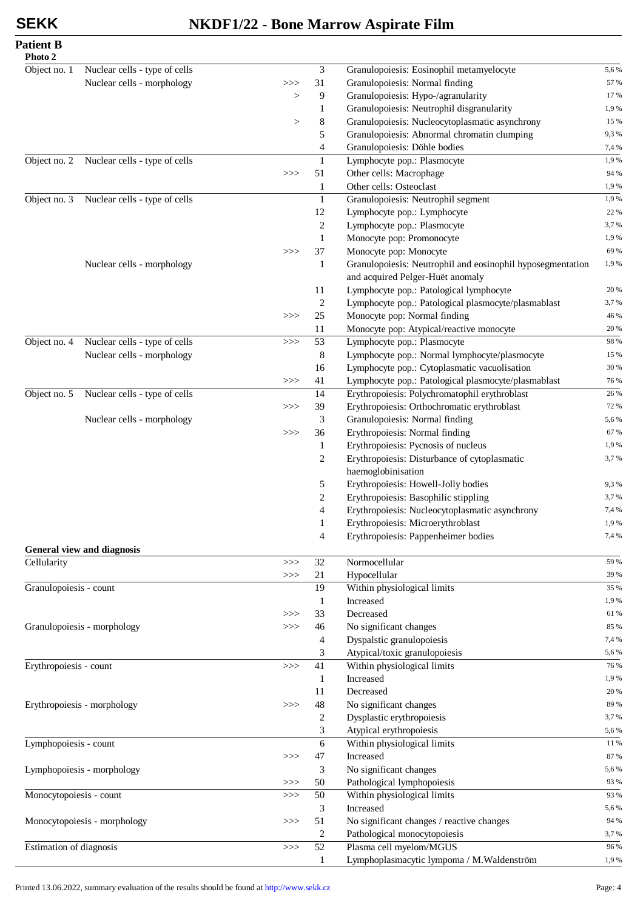## **SEKK NKDF1/22 - Bone Marrow Aspirate Film**

| <b>Patient B</b> |  |
|------------------|--|
| Dhata 2          |  |

| Photo 2                 |                                   |        |                |                                                            |       |
|-------------------------|-----------------------------------|--------|----------------|------------------------------------------------------------|-------|
| Object no. 1            | Nuclear cells - type of cells     |        | 3              | Granulopoiesis: Eosinophil metamyelocyte                   | 5,6%  |
|                         | Nuclear cells - morphology        | $>>>$  | 31             | Granulopoiesis: Normal finding                             | 57 %  |
|                         |                                   | $\geq$ | 9              | Granulopoiesis: Hypo-/agranularity                         | 17%   |
|                         |                                   |        | 1              | Granulopoiesis: Neutrophil disgranularity                  | 1,9%  |
|                         |                                   | $\,>$  | 8              | Granulopoiesis: Nucleocytoplasmatic asynchrony             | 15 %  |
|                         |                                   |        | 5              | Granulopoiesis: Abnormal chromatin clumping                | 9,3%  |
|                         |                                   |        | 4              | Granulopoiesis: Döhle bodies                               | 7,4 % |
| Object no. 2            | Nuclear cells - type of cells     |        | $\mathbf{1}$   | Lymphocyte pop.: Plasmocyte                                | 1,9%  |
|                         |                                   | $>>>$  | 51             | Other cells: Macrophage                                    | 94 %  |
|                         |                                   |        | 1              | Other cells: Osteoclast                                    | 1,9%  |
| Object no. 3            | Nuclear cells - type of cells     |        | $\mathbf{1}$   | Granulopoiesis: Neutrophil segment                         | 1,9%  |
|                         |                                   |        | 12             | Lymphocyte pop.: Lymphocyte                                | 22 %  |
|                         |                                   |        | 2              | Lymphocyte pop.: Plasmocyte                                | 3,7%  |
|                         |                                   |        | 1              | Monocyte pop: Promonocyte                                  | 1,9%  |
|                         |                                   | $>>>$  | 37             | Monocyte pop: Monocyte                                     | 69 %  |
|                         | Nuclear cells - morphology        |        | 1              | Granulopoiesis: Neutrophil and eosinophil hyposegmentation | 1,9%  |
|                         |                                   |        |                | and acquired Pelger-Huët anomaly                           |       |
|                         |                                   |        | 11             | Lymphocyte pop.: Patological lymphocyte                    | 20 %  |
|                         |                                   |        | 2              | Lymphocyte pop.: Patological plasmocyte/plasmablast        | 3,7%  |
|                         |                                   | >>     | 25             | Monocyte pop: Normal finding                               | 46 %  |
|                         |                                   |        | 11             | Monocyte pop: Atypical/reactive monocyte                   | 20 %  |
| Object no. 4            | Nuclear cells - type of cells     | >>     | 53             | Lymphocyte pop.: Plasmocyte                                | 98 %  |
|                         | Nuclear cells - morphology        |        | 8              | Lymphocyte pop.: Normal lymphocyte/plasmocyte              | 15 %  |
|                         |                                   |        | 16             | Lymphocyte pop.: Cytoplasmatic vacuolisation               | 30 %  |
|                         |                                   | >>     | 41             | Lymphocyte pop.: Patological plasmocyte/plasmablast        | 76 %  |
| Object no. 5            | Nuclear cells - type of cells     |        | 14             | Erythropoiesis: Polychromatophil erythroblast              | 26 %  |
|                         |                                   | >>>    | 39             | Erythropoiesis: Orthochromatic erythroblast                | 72 %  |
|                         | Nuclear cells - morphology        |        | 3              | Granulopoiesis: Normal finding                             | 5,6%  |
|                         |                                   | >>     | 36             | Erythropoiesis: Normal finding                             | 67 %  |
|                         |                                   |        | 1              | Erythropoiesis: Pycnosis of nucleus                        | 1,9%  |
|                         |                                   |        | $\overline{2}$ | Erythropoiesis: Disturbance of cytoplasmatic               | 3,7%  |
|                         |                                   |        |                | haemoglobinisation                                         |       |
|                         |                                   |        | 5              | Erythropoiesis: Howell-Jolly bodies                        | 9,3%  |
|                         |                                   |        | $\overline{c}$ | Erythropoiesis: Basophilic stippling                       | 3,7%  |
|                         |                                   |        | 4              | Erythropoiesis: Nucleocytoplasmatic asynchrony             | 7,4 % |
|                         |                                   |        | 1              | Erythropoiesis: Microerythroblast                          | 1,9%  |
|                         |                                   |        |                |                                                            | 7,4 % |
|                         | <b>General view and diagnosis</b> |        | 4              | Erythropoiesis: Pappenheimer bodies                        |       |
| Cellularity             |                                   | $>>>$  | 32             | Normocellular                                              | 59 %  |
|                         |                                   | $>>>$  | 21             | Hypocellular                                               | 39 %  |
| Granulopoiesis - count  |                                   |        | 19             | Within physiological limits                                | 35 %  |
|                         |                                   |        | 1              | Increased                                                  | 1,9%  |
|                         |                                   |        | 33             | Decreased                                                  | 61 %  |
|                         | Granulopoiesis - morphology       | >>     | 46             | No significant changes                                     | 85 %  |
|                         |                                   | >>     | $\overline{4}$ | Dyspalstic granulopoiesis                                  | 7,4 % |
|                         |                                   |        | 3              | Atypical/toxic granulopoiesis                              | 5,6%  |
|                         |                                   |        |                | Within physiological limits                                |       |
| Erythropoiesis - count  |                                   | >>     | 41             | Increased                                                  | 76 %  |
|                         |                                   |        | 1              |                                                            | 1,9%  |
|                         |                                   |        | 11             | Decreased                                                  | 20 %  |
|                         | Erythropoiesis - morphology       | >>     | 48             | No significant changes                                     | 89 %  |
|                         |                                   |        | 2              | Dysplastic erythropoiesis                                  | 3,7%  |
|                         |                                   |        | 3              | Atypical erythropoiesis                                    | 5,6%  |
| Lymphopoiesis - count   |                                   |        | 6              | Within physiological limits                                | 11 %  |
|                         |                                   | >>>    | 47             | Increased                                                  | 87 %  |
|                         | Lymphopoiesis - morphology        |        | 3              | No significant changes                                     | 5,6%  |
|                         |                                   | >>>    | 50             | Pathological lymphopoiesis                                 | 93 %  |
| Monocytopoiesis - count |                                   | $>>>$  | 50             | Within physiological limits                                | 93 %  |
|                         |                                   |        | 3              | Increased                                                  | 5,6%  |
|                         | Monocytopoiesis - morphology      | $>>>$  | 51             | No significant changes / reactive changes                  | 94 %  |
|                         |                                   |        | 2              | Pathological monocytopoiesis                               | 3,7%  |
| Estimation of diagnosis |                                   | $>>>$  | 52             | Plasma cell myelom/MGUS                                    | 96 %  |
|                         |                                   |        | 1              | Lymphoplasmacytic lympoma / M.Waldenström                  | 1,9%  |